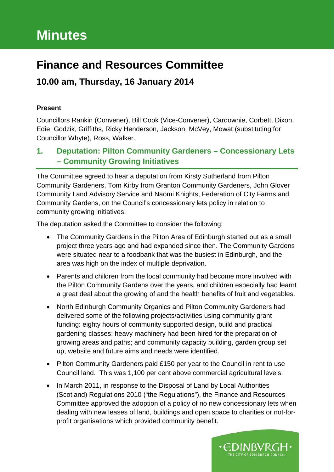# **Minutes**

# **Finance and Resources Committee**

# **10.00 am, Thursday, 16 January 2014**

### **Present**

Councillors Rankin (Convener), Bill Cook (Vice-Convener), Cardownie, Corbett, Dixon, Edie, Godzik, Griffiths, Ricky Henderson, Jackson, McVey, Mowat (substituting for Councillor Whyte), Ross, Walker.

# **1. Deputation: Pilton Community Gardeners – Concessionary Lets – Community Growing Initiatives**

The Committee agreed to hear a deputation from Kirsty Sutherland from Pilton Community Gardeners, Tom Kirby from Granton Community Gardeners, John Glover Community Land Advisory Service and Naomi Knights, Federation of City Farms and Community Gardens, on the Council's concessionary lets policy in relation to community growing initiatives.

The deputation asked the Committee to consider the following:

- The Community Gardens in the Pilton Area of Edinburgh started out as a small project three years ago and had expanded since then. The Community Gardens were situated near to a foodbank that was the busiest in Edinburgh, and the area was high on the index of multiple deprivation.
- Parents and children from the local community had become more involved with the Pilton Community Gardens over the years, and children especially had learnt a great deal about the growing of and the health benefits of fruit and vegetables.
- North Edinburgh Community Organics and Pilton Community Gardeners had delivered some of the following projects/activities using community grant funding: eighty hours of community supported design, build and practical gardening classes; heavy machinery had been hired for the preparation of growing areas and paths; and community capacity building, garden group set up, website and future aims and needs were identified.
- Pilton Community Gardeners paid £150 per year to the Council in rent to use Council land. This was 1,100 per cent above commercial agricultural levels.
- In March 2011, in response to the Disposal of Land by Local Authorities (Scotland) Regulations 2010 ("the Regulations"), the Finance and Resources Committee approved the adoption of a policy of no new concessionary lets when dealing with new leases of land, buildings and open space to charities or not-forprofit organisations which provided community benefit.

∙EDINBVRGH∙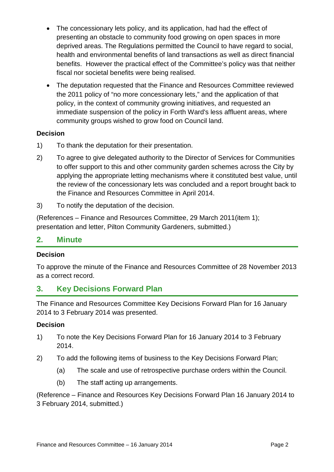- The concessionary lets policy, and its application, had had the effect of presenting an obstacle to community food growing on open spaces in more deprived areas. The Regulations permitted the Council to have regard to social, health and environmental benefits of land transactions as well as direct financial benefits. However the practical effect of the Committee's policy was that neither fiscal nor societal benefits were being realised.
- The deputation requested that the Finance and Resources Committee reviewed the 2011 policy of "no more concessionary lets," and the application of that policy, in the context of community growing initiatives, and requested an immediate suspension of the policy in Forth Ward's less affluent areas, where community groups wished to grow food on Council land.

### **Decision**

- 1) To thank the deputation for their presentation.
- 2) To agree to give delegated authority to the Director of Services for Communities to offer support to this and other community garden schemes across the City by applying the appropriate letting mechanisms where it constituted best value, until the review of the concessionary lets was concluded and a report brought back to the Finance and Resources Committee in April 2014.
- 3) To notify the deputation of the decision.

(References – Finance and Resources Committee, 29 March 2011(item 1); presentation and letter, Pilton Community Gardeners, submitted.)

### **2. Minute**

### **Decision**

To approve the minute of the Finance and Resources Committee of 28 November 2013 as a correct record.

# **3. Key Decisions Forward Plan**

The Finance and Resources Committee Key Decisions Forward Plan for 16 January 2014 to 3 February 2014 was presented.

### **Decision**

- 1) To note the Key Decisions Forward Plan for 16 January 2014 to 3 February 2014.
- 2) To add the following items of business to the Key Decisions Forward Plan;
	- (a) The scale and use of retrospective purchase orders within the Council.
	- (b) The staff acting up arrangements.

(Reference – Finance and Resources Key Decisions Forward Plan 16 January 2014 to 3 February 2014, submitted.)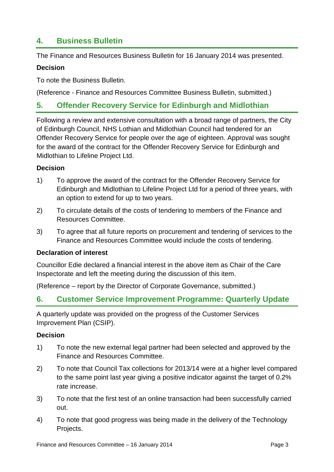### **4. Business Bulletin**

The Finance and Resources Business Bulletin for 16 January 2014 was presented.

#### **Decision**

To note the Business Bulletin.

(Reference - Finance and Resources Committee Business Bulletin, submitted.)

### **5. Offender Recovery Service for Edinburgh and Midlothian**

Following a review and extensive consultation with a broad range of partners, the City of Edinburgh Council, NHS Lothian and Midlothian Council had tendered for an Offender Recovery Service for people over the age of eighteen. Approval was sought for the award of the contract for the Offender Recovery Service for Edinburgh and Midlothian to Lifeline Project Ltd.

#### **Decision**

- 1) To approve the award of the contract for the Offender Recovery Service for Edinburgh and Midlothian to Lifeline Project Ltd for a period of three years, with an option to extend for up to two years.
- 2) To circulate details of the costs of tendering to members of the Finance and Resources Committee.
- 3) To agree that all future reports on procurement and tendering of services to the Finance and Resources Committee would include the costs of tendering.

#### **Declaration of interest**

Councillor Edie declared a financial interest in the above item as Chair of the Care Inspectorate and left the meeting during the discussion of this item.

(Reference – report by the Director of Corporate Governance, submitted.)

### **6. Customer Service Improvement Programme: Quarterly Update**

A quarterly update was provided on the progress of the Customer Services Improvement Plan (CSIP).

#### **Decision**

- 1) To note the new external legal partner had been selected and approved by the Finance and Resources Committee.
- 2) To note that Council Tax collections for 2013/14 were at a higher level compared to the same point last year giving a positive indicator against the target of 0.2% rate increase.
- 3) To note that the first test of an online transaction had been successfully carried out.
- 4) To note that good progress was being made in the delivery of the Technology Projects.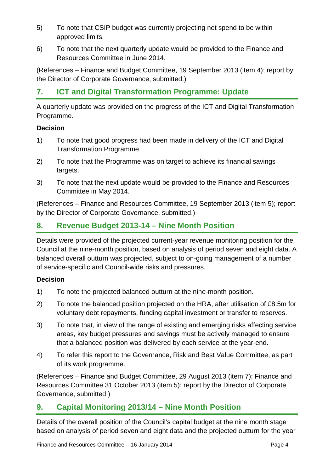- 5) To note that CSIP budget was currently projecting net spend to be within approved limits.
- 6) To note that the next quarterly update would be provided to the Finance and Resources Committee in June 2014.

(References – Finance and Budget Committee, 19 September 2013 (item 4); report by the Director of Corporate Governance, submitted.)

# **7. ICT and Digital Transformation Programme: Update**

A quarterly update was provided on the progress of the ICT and Digital Transformation Programme.

### **Decision**

- 1) To note that good progress had been made in delivery of the ICT and Digital Transformation Programme.
- 2) To note that the Programme was on target to achieve its financial savings targets.
- 3) To note that the next update would be provided to the Finance and Resources Committee in May 2014.

(References – Finance and Resources Committee, 19 September 2013 (item 5); report by the Director of Corporate Governance, submitted.)

### **8. Revenue Budget 2013-14 – Nine Month Position**

Details were provided of the projected current-year revenue monitoring position for the Council at the nine-month position, based on analysis of period seven and eight data. A balanced overall outturn was projected, subject to on-going management of a number of service-specific and Council-wide risks and pressures.

### **Decision**

- 1) To note the projected balanced outturn at the nine-month position.
- 2) To note the balanced position projected on the HRA, after utilisation of £8.5m for voluntary debt repayments, funding capital investment or transfer to reserves.
- 3) To note that, in view of the range of existing and emerging risks affecting service areas, key budget pressures and savings must be actively managed to ensure that a balanced position was delivered by each service at the year-end.
- 4) To refer this report to the Governance, Risk and Best Value Committee, as part of its work programme.

(References – Finance and Budget Committee, 29 August 2013 (item 7); Finance and Resources Committee 31 October 2013 (item 5); report by the Director of Corporate Governance, submitted.)

### **9. Capital Monitoring 2013/14 – Nine Month Position**

Details of the overall position of the Council's capital budget at the nine month stage based on analysis of period seven and eight data and the projected outturn for the year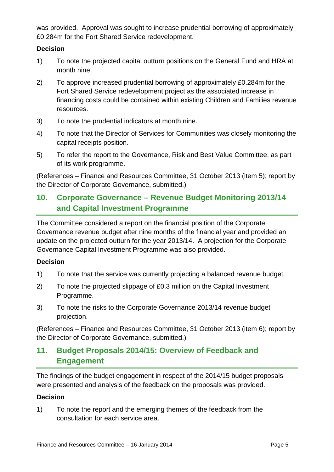was provided. Approval was sought to increase prudential borrowing of approximately £0.284m for the Fort Shared Service redevelopment.

#### **Decision**

- 1) To note the projected capital outturn positions on the General Fund and HRA at month nine.
- 2) To approve increased prudential borrowing of approximately £0.284m for the Fort Shared Service redevelopment project as the associated increase in financing costs could be contained within existing Children and Families revenue resources.
- 3) To note the prudential indicators at month nine.
- 4) To note that the Director of Services for Communities was closely monitoring the capital receipts position.
- 5) To refer the report to the Governance, Risk and Best Value Committee, as part of its work programme.

(References – Finance and Resources Committee, 31 October 2013 (item 5); report by the Director of Corporate Governance, submitted.)

# **10. Corporate Governance – Revenue Budget Monitoring 2013/14 and Capital Investment Programme**

The Committee considered a report on the financial position of the Corporate Governance revenue budget after nine months of the financial year and provided an update on the projected outturn for the year 2013/14. A projection for the Corporate Governance Capital Investment Programme was also provided.

### **Decision**

- 1) To note that the service was currently projecting a balanced revenue budget.
- 2) To note the projected slippage of £0.3 million on the Capital Investment Programme.
- 3) To note the risks to the Corporate Governance 2013/14 revenue budget projection.

(References – Finance and Resources Committee, 31 October 2013 (item 6); report by the Director of Corporate Governance, submitted.)

# **11. Budget Proposals 2014/15: Overview of Feedback and Engagement**

The findings of the budget engagement in respect of the 2014/15 budget proposals were presented and analysis of the feedback on the proposals was provided.

### **Decision**

1) To note the report and the emerging themes of the feedback from the consultation for each service area.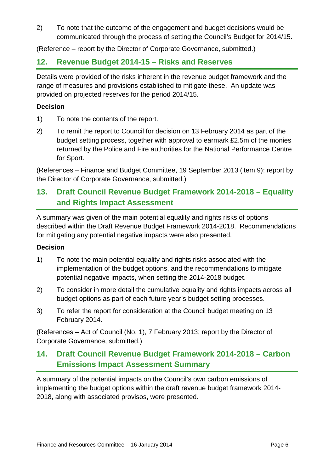2) To note that the outcome of the engagement and budget decisions would be communicated through the process of setting the Council's Budget for 2014/15.

(Reference – report by the Director of Corporate Governance, submitted.)

## **12. Revenue Budget 2014-15 – Risks and Reserves**

Details were provided of the risks inherent in the revenue budget framework and the range of measures and provisions established to mitigate these. An update was provided on projected reserves for the period 2014/15.

### **Decision**

- 1) To note the contents of the report.
- 2) To remit the report to Council for decision on 13 February 2014 as part of the budget setting process, together with approval to earmark £2.5m of the monies returned by the Police and Fire authorities for the National Performance Centre for Sport.

(References – Finance and Budget Committee, 19 September 2013 (item 9); report by the Director of Corporate Governance, submitted.)

# **13. Draft Council Revenue Budget Framework 2014-2018 – Equality and Rights Impact Assessment**

A summary was given of the main potential equality and rights risks of options described within the Draft Revenue Budget Framework 2014-2018. Recommendations for mitigating any potential negative impacts were also presented.

### **Decision**

- 1) To note the main potential equality and rights risks associated with the implementation of the budget options, and the recommendations to mitigate potential negative impacts, when setting the 2014-2018 budget.
- 2) To consider in more detail the cumulative equality and rights impacts across all budget options as part of each future year's budget setting processes.
- 3) To refer the report for consideration at the Council budget meeting on 13 February 2014.

(References – Act of Council (No. 1), 7 February 2013; report by the Director of Corporate Governance, submitted.)

# **14. Draft Council Revenue Budget Framework 2014-2018 – Carbon Emissions Impact Assessment Summary**

A summary of the potential impacts on the Council's own carbon emissions of implementing the budget options within the draft revenue budget framework 2014- 2018, along with associated provisos, were presented.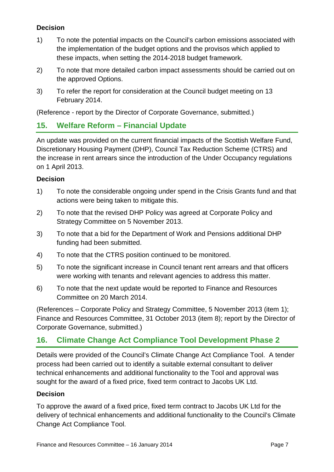### **Decision**

- 1) To note the potential impacts on the Council's carbon emissions associated with the implementation of the budget options and the provisos which applied to these impacts, when setting the 2014-2018 budget framework.
- 2) To note that more detailed carbon impact assessments should be carried out on the approved Options.
- 3) To refer the report for consideration at the Council budget meeting on 13 February 2014.

(Reference - report by the Director of Corporate Governance, submitted.)

## **15. Welfare Reform – Financial Update**

An update was provided on the current financial impacts of the Scottish Welfare Fund, Discretionary Housing Payment (DHP), Council Tax Reduction Scheme (CTRS) and the increase in rent arrears since the introduction of the Under Occupancy regulations on 1 April 2013.

### **Decision**

- 1) To note the considerable ongoing under spend in the Crisis Grants fund and that actions were being taken to mitigate this.
- 2) To note that the revised DHP Policy was agreed at Corporate Policy and Strategy Committee on 5 November 2013.
- 3) To note that a bid for the Department of Work and Pensions additional DHP funding had been submitted.
- 4) To note that the CTRS position continued to be monitored.
- 5) To note the significant increase in Council tenant rent arrears and that officers were working with tenants and relevant agencies to address this matter.
- 6) To note that the next update would be reported to Finance and Resources Committee on 20 March 2014.

(References – Corporate Policy and Strategy Committee, 5 November 2013 (item 1); Finance and Resources Committee, 31 October 2013 (item 8); report by the Director of Corporate Governance, submitted.)

# **16. Climate Change Act Compliance Tool Development Phase 2**

Details were provided of the Council's Climate Change Act Compliance Tool. A tender process had been carried out to identify a suitable external consultant to deliver technical enhancements and additional functionality to the Tool and approval was sought for the award of a fixed price, fixed term contract to Jacobs UK Ltd.

### **Decision**

To approve the award of a fixed price, fixed term contract to Jacobs UK Ltd for the delivery of technical enhancements and additional functionality to the Council's Climate Change Act Compliance Tool.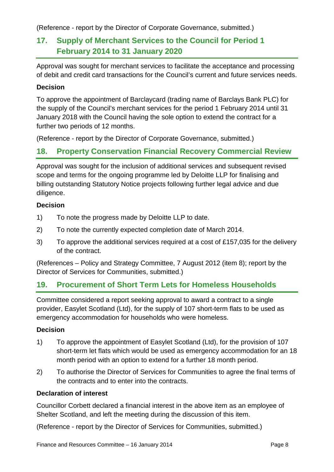(Reference - report by the Director of Corporate Governance, submitted.)

# **17. Supply of Merchant Services to the Council for Period 1 February 2014 to 31 January 2020**

Approval was sought for merchant services to facilitate the acceptance and processing of debit and credit card transactions for the Council's current and future services needs.

### **Decision**

To approve the appointment of Barclaycard (trading name of Barclays Bank PLC) for the supply of the Council's merchant services for the period 1 February 2014 until 31 January 2018 with the Council having the sole option to extend the contract for a further two periods of 12 months.

(Reference - report by the Director of Corporate Governance, submitted.)

## **18. Property Conservation Financial Recovery Commercial Review**

Approval was sought for the inclusion of additional services and subsequent revised scope and terms for the ongoing programme led by Deloitte LLP for finalising and billing outstanding Statutory Notice projects following further legal advice and due diligence.

### **Decision**

- 1) To note the progress made by Deloitte LLP to date.
- 2) To note the currently expected completion date of March 2014.
- 3) To approve the additional services required at a cost of £157,035 for the delivery of the contract.

(References – Policy and Strategy Committee, 7 August 2012 (item 8); report by the Director of Services for Communities, submitted.)

### **19. Procurement of Short Term Lets for Homeless Households**

Committee considered a report seeking approval to award a contract to a single provider, Easylet Scotland (Ltd), for the supply of 107 short-term flats to be used as emergency accommodation for households who were homeless.

### **Decision**

- 1) To approve the appointment of Easylet Scotland (Ltd), for the provision of 107 short-term let flats which would be used as emergency accommodation for an 18 month period with an option to extend for a further 18 month period.
- 2) To authorise the Director of Services for Communities to agree the final terms of the contracts and to enter into the contracts.

#### **Declaration of interest**

Councillor Corbett declared a financial interest in the above item as an employee of Shelter Scotland, and left the meeting during the discussion of this item.

(Reference - report by the Director of Services for Communities, submitted.)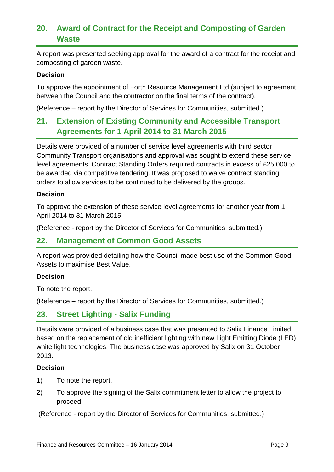# **20. Award of Contract for the Receipt and Composting of Garden Waste**

A report was presented seeking approval for the award of a contract for the receipt and composting of garden waste.

#### **Decision**

To approve the appointment of Forth Resource Management Ltd (subject to agreement between the Council and the contractor on the final terms of the contract).

(Reference – report by the Director of Services for Communities, submitted.)

# **21. Extension of Existing Community and Accessible Transport Agreements for 1 April 2014 to 31 March 2015**

Details were provided of a number of service level agreements with third sector Community Transport organisations and approval was sought to extend these service level agreements. Contract Standing Orders required contracts in excess of £25,000 to be awarded via competitive tendering. It was proposed to waive contract standing orders to allow services to be continued to be delivered by the groups.

#### **Decision**

To approve the extension of these service level agreements for another year from 1 April 2014 to 31 March 2015.

(Reference - report by the Director of Services for Communities, submitted.)

### **22. Management of Common Good Assets**

A report was provided detailing how the Council made best use of the Common Good Assets to maximise Best Value.

#### **Decision**

To note the report.

(Reference – report by the Director of Services for Communities, submitted.)

### **23. Street Lighting - Salix Funding**

Details were provided of a business case that was presented to Salix Finance Limited, based on the replacement of old inefficient lighting with new Light Emitting Diode (LED) white light technologies. The business case was approved by Salix on 31 October 2013.

#### **Decision**

- 1) To note the report.
- 2) To approve the signing of the Salix commitment letter to allow the project to proceed.

(Reference - report by the Director of Services for Communities, submitted.)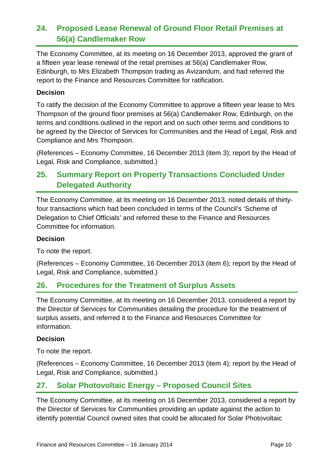# **24. Proposed Lease Renewal of Ground Floor Retail Premises at 56(a) Candlemaker Row**

The Economy Committee, at its meeting on 16 December 2013, approved the grant of a fifteen year lease renewal of the retail premises at 56(a) Candlemaker Row, Edinburgh, to Mrs Elizabeth Thompson trading as Avizandum, and had referred the report to the Finance and Resources Committee for ratification.

### **Decision**

To ratify the decision of the Economy Committee to approve a fifteen year lease to Mrs Thompson of the ground floor premises at 56(a) Candlemaker Row, Edinburgh, on the terms and conditions outlined in the report and on such other terms and conditions to be agreed by the Director of Services for Communities and the Head of Legal, Risk and Compliance and Mrs Thompson.

(References – Economy Committee, 16 December 2013 (item 3); report by the Head of Legal, Risk and Compliance, submitted.)

# **25. Summary Report on Property Transactions Concluded Under Delegated Authority**

The Economy Committee, at its meeting on 16 December 2013, noted details of thirtyfour transactions which had been concluded in terms of the Council's 'Scheme of Delegation to Chief Officials' and referred these to the Finance and Resources Committee for information.

### **Decision**

To note the report.

(References – Economy Committee, 16 December 2013 (item 6); report by the Head of Legal, Risk and Compliance, submitted.)

### **26. Procedures for the Treatment of Surplus Assets**

The Economy Committee, at its meeting on 16 December 2013, considered a report by the Director of Services for Communities detailing the procedure for the treatment of surplus assets, and referred it to the Finance and Resources Committee for information.

### **Decision**

To note the report.

(References – Economy Committee, 16 December 2013 (item 4); report by the Head of Legal, Risk and Compliance, submitted.)

# **27. Solar Photovoltaic Energy – Proposed Council Sites**

The Economy Committee, at its meeting on 16 December 2013, considered a report by the Director of Services for Communities providing an update against the action to identify potential Council owned sites that could be allocated for Solar Photovoltaic